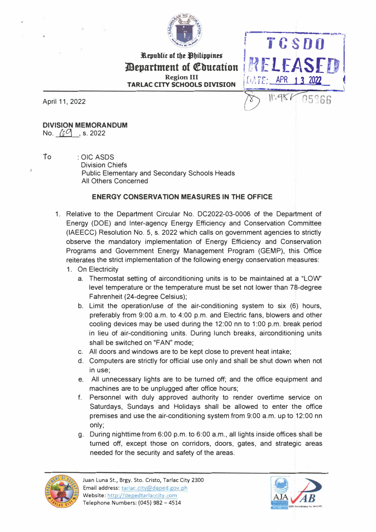

**Republic of the** *Philippines* **l)epartment of €bucation Region III TARLAC CITY SCHOOLS DIVISION** 

April 11, 2022

**DIVISION MEMORANDUM**  No. *(p<sup>O</sup>* s. 2022)

To : OIC ASDS

Division Chiefs Public Elementary and Secondary Schools Heads All Others Concerned

## **ENERGY CONSERVATION MEASURES IN THE OFFICE**

- 1. Relative to the Department Circular No. DC2022-03-0006 of the Department of Energy (DOE) and Inter-agency Energy Efficiency and Conservation Committee (IAEECC) Resolution No. 5, s. 2022 which calls on government agencies to strictly observe the mandatory implementation of Energy Efficiency and Conservation Programs and Government Energy Management Program (GEMP), this Office reiterates the strict implementation of the following energy conservation measures:
	- 1. On Electricity
		- a. Thermostat setting of airconditioning units is to be maintained at a "LOW level temperature or the temperature must be set not lower than 78-degree Fahrenheit (24-degree Celsius);
		- b. Limit the operation/use of the air-conditioning system to six (6) hours, preferably from 9:00 a.m. to 4:00 p.m. and Electric fans, blowers and other cooling devices may be used during the 12:00 nn to 1:00 p.m. break period in lieu of air-conditioning units. During lunch breaks, airconditioning units shall be switched on "FAN" mode;
		- c. All doors and windows are to be kept close to prevent heat intake;
		- d. Computers are strictly for official use only and shall be shut down when not in use;
		- e. All unnecessary lights are to be turned off; and the office equipment and machines are to be unplugged after office hours;
		- f. Personnel with duly approved authority to render overtime service on Saturdays, Sundays and Holidays shall be allowed to enter the office premises and use the air-conditioning system from 9:00 a.m. up to 12:00 nn only;
		- g. During nighttime from 6:00 p.m. to 6:00 a.m., all lights inside offices shall be turned off, except those on corridors, doors, gates, and strategic areas needed for the security and safety of the areas.





,.\_\_\_ \_\_\_\_\_\_\_\_\_ **' TC·SDO** <sup>1</sup>

RELEASFIL

*i**ATE***: <b>APR** 13

 $11.986$